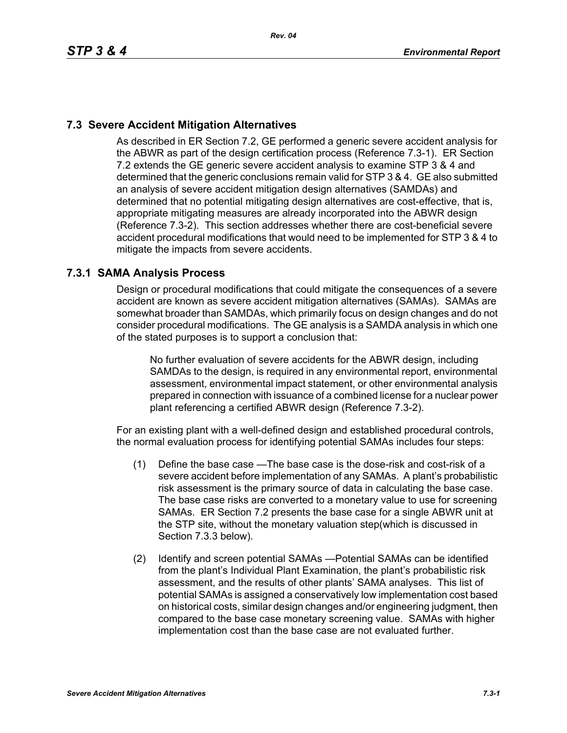## **7.3 Severe Accident Mitigation Alternatives**

As described in ER Section 7.2, GE performed a generic severe accident analysis for the ABWR as part of the design certification process (Reference 7.3-1). ER Section 7.2 extends the GE generic severe accident analysis to examine STP 3 & 4 and determined that the generic conclusions remain valid for STP 3 & 4. GE also submitted an analysis of severe accident mitigation design alternatives (SAMDAs) and determined that no potential mitigating design alternatives are cost-effective, that is, appropriate mitigating measures are already incorporated into the ABWR design (Reference 7.3-2). This section addresses whether there are cost-beneficial severe accident procedural modifications that would need to be implemented for STP 3 & 4 to mitigate the impacts from severe accidents.

### **7.3.1 SAMA Analysis Process**

Design or procedural modifications that could mitigate the consequences of a severe accident are known as severe accident mitigation alternatives (SAMAs). SAMAs are somewhat broader than SAMDAs, which primarily focus on design changes and do not consider procedural modifications. The GE analysis is a SAMDA analysis in which one of the stated purposes is to support a conclusion that:

No further evaluation of severe accidents for the ABWR design, including SAMDAs to the design, is required in any environmental report, environmental assessment, environmental impact statement, or other environmental analysis prepared in connection with issuance of a combined license for a nuclear power plant referencing a certified ABWR design (Reference 7.3-2).

For an existing plant with a well-defined design and established procedural controls, the normal evaluation process for identifying potential SAMAs includes four steps:

- (1) Define the base case —The base case is the dose-risk and cost-risk of a severe accident before implementation of any SAMAs. A plant's probabilistic risk assessment is the primary source of data in calculating the base case. The base case risks are converted to a monetary value to use for screening SAMAs. ER Section 7.2 presents the base case for a single ABWR unit at the STP site, without the monetary valuation step(which is discussed in Section 7.3.3 below).
- (2) Identify and screen potential SAMAs —Potential SAMAs can be identified from the plant's Individual Plant Examination, the plant's probabilistic risk assessment, and the results of other plants' SAMA analyses. This list of potential SAMAs is assigned a conservatively low implementation cost based on historical costs, similar design changes and/or engineering judgment, then compared to the base case monetary screening value. SAMAs with higher implementation cost than the base case are not evaluated further.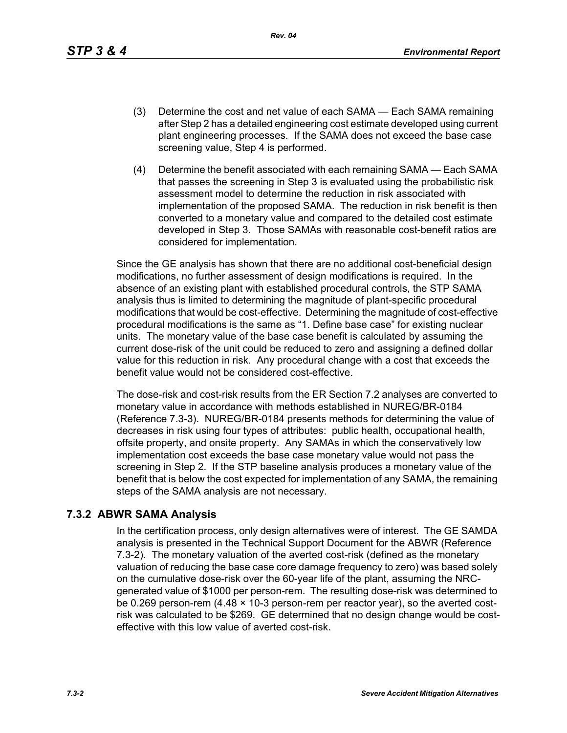*Rev. 04*

- (3) Determine the cost and net value of each SAMA Each SAMA remaining after Step 2 has a detailed engineering cost estimate developed using current plant engineering processes. If the SAMA does not exceed the base case screening value, Step 4 is performed.
- (4) Determine the benefit associated with each remaining SAMA Each SAMA that passes the screening in Step 3 is evaluated using the probabilistic risk assessment model to determine the reduction in risk associated with implementation of the proposed SAMA. The reduction in risk benefit is then converted to a monetary value and compared to the detailed cost estimate developed in Step 3. Those SAMAs with reasonable cost-benefit ratios are considered for implementation.

Since the GE analysis has shown that there are no additional cost-beneficial design modifications, no further assessment of design modifications is required. In the absence of an existing plant with established procedural controls, the STP SAMA analysis thus is limited to determining the magnitude of plant-specific procedural modifications that would be cost-effective. Determining the magnitude of cost-effective procedural modifications is the same as "1. Define base case" for existing nuclear units. The monetary value of the base case benefit is calculated by assuming the current dose-risk of the unit could be reduced to zero and assigning a defined dollar value for this reduction in risk. Any procedural change with a cost that exceeds the benefit value would not be considered cost-effective.

The dose-risk and cost-risk results from the ER Section 7.2 analyses are converted to monetary value in accordance with methods established in NUREG/BR-0184 (Reference 7.3-3). NUREG/BR-0184 presents methods for determining the value of decreases in risk using four types of attributes: public health, occupational health, offsite property, and onsite property. Any SAMAs in which the conservatively low implementation cost exceeds the base case monetary value would not pass the screening in Step 2. If the STP baseline analysis produces a monetary value of the benefit that is below the cost expected for implementation of any SAMA, the remaining steps of the SAMA analysis are not necessary.

## **7.3.2 ABWR SAMA Analysis**

In the certification process, only design alternatives were of interest. The GE SAMDA analysis is presented in the Technical Support Document for the ABWR (Reference 7.3-2). The monetary valuation of the averted cost-risk (defined as the monetary valuation of reducing the base case core damage frequency to zero) was based solely on the cumulative dose-risk over the 60-year life of the plant, assuming the NRCgenerated value of \$1000 per person-rem. The resulting dose-risk was determined to be 0.269 person-rem (4.48 × 10-3 person-rem per reactor year), so the averted costrisk was calculated to be \$269. GE determined that no design change would be costeffective with this low value of averted cost-risk.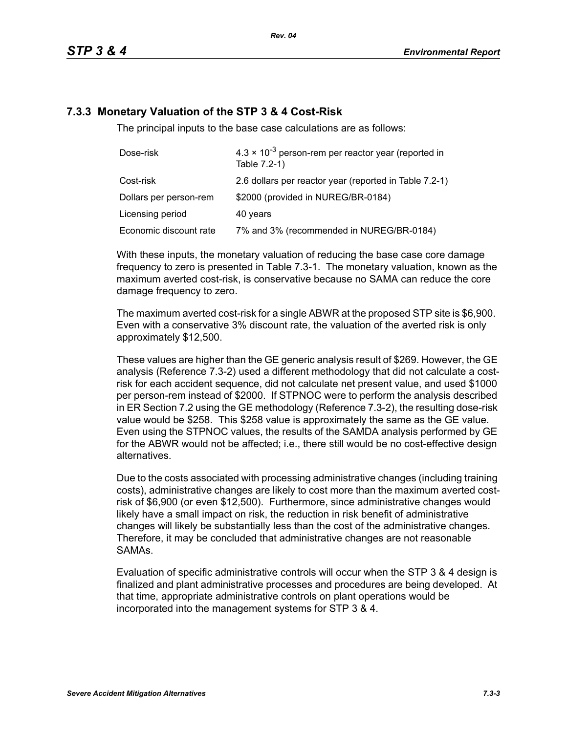# **7.3.3 Monetary Valuation of the STP 3 & 4 Cost-Risk**

The principal inputs to the base case calculations are as follows:

| Dose-risk              | $4.3 \times 10^{-3}$ person-rem per reactor year (reported in<br>Table 7.2-1) |  |
|------------------------|-------------------------------------------------------------------------------|--|
| Cost-risk              | 2.6 dollars per reactor year (reported in Table 7.2-1)                        |  |
| Dollars per person-rem | \$2000 (provided in NUREG/BR-0184)                                            |  |
| Licensing period       | 40 years                                                                      |  |
| Economic discount rate | 7% and 3% (recommended in NUREG/BR-0184)                                      |  |

With these inputs, the monetary valuation of reducing the base case core damage frequency to zero is presented in Table 7.3-1. The monetary valuation, known as the maximum averted cost-risk, is conservative because no SAMA can reduce the core damage frequency to zero.

The maximum averted cost-risk for a single ABWR at the proposed STP site is \$6,900. Even with a conservative 3% discount rate, the valuation of the averted risk is only approximately \$12,500.

These values are higher than the GE generic analysis result of \$269. However, the GE analysis (Reference 7.3-2) used a different methodology that did not calculate a costrisk for each accident sequence, did not calculate net present value, and used \$1000 per person-rem instead of \$2000. If STPNOC were to perform the analysis described in ER Section 7.2 using the GE methodology (Reference 7.3-2), the resulting dose-risk value would be \$258. This \$258 value is approximately the same as the GE value. Even using the STPNOC values, the results of the SAMDA analysis performed by GE for the ABWR would not be affected; i.e., there still would be no cost-effective design alternatives.

Due to the costs associated with processing administrative changes (including training costs), administrative changes are likely to cost more than the maximum averted costrisk of \$6,900 (or even \$12,500). Furthermore, since administrative changes would likely have a small impact on risk, the reduction in risk benefit of administrative changes will likely be substantially less than the cost of the administrative changes. Therefore, it may be concluded that administrative changes are not reasonable SAMAs.

Evaluation of specific administrative controls will occur when the STP 3 & 4 design is finalized and plant administrative processes and procedures are being developed. At that time, appropriate administrative controls on plant operations would be incorporated into the management systems for STP 3 & 4.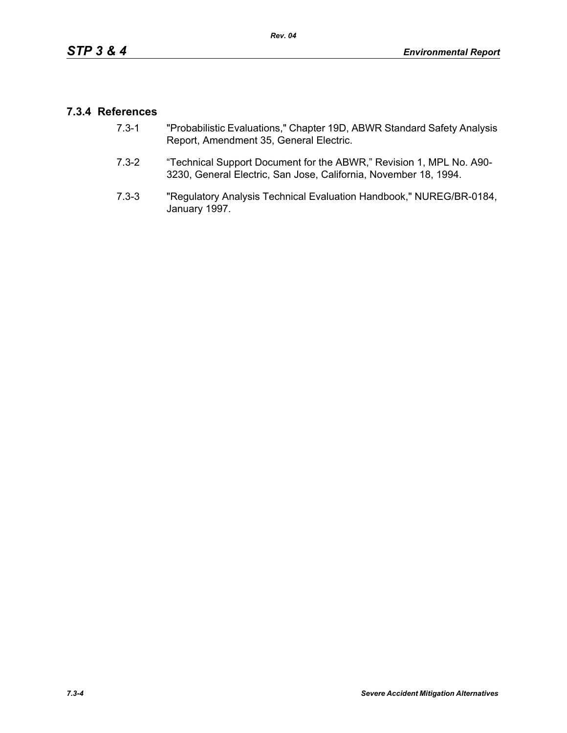## **7.3.4 References**

- 7.3-1 "Probabilistic Evaluations," Chapter 19D, ABWR Standard Safety Analysis Report, Amendment 35, General Electric.
- 7.3-2 "Technical Support Document for the ABWR," Revision 1, MPL No. A90- 3230, General Electric, San Jose, California, November 18, 1994.
- 7.3-3 "Regulatory Analysis Technical Evaluation Handbook," NUREG/BR-0184, January 1997.